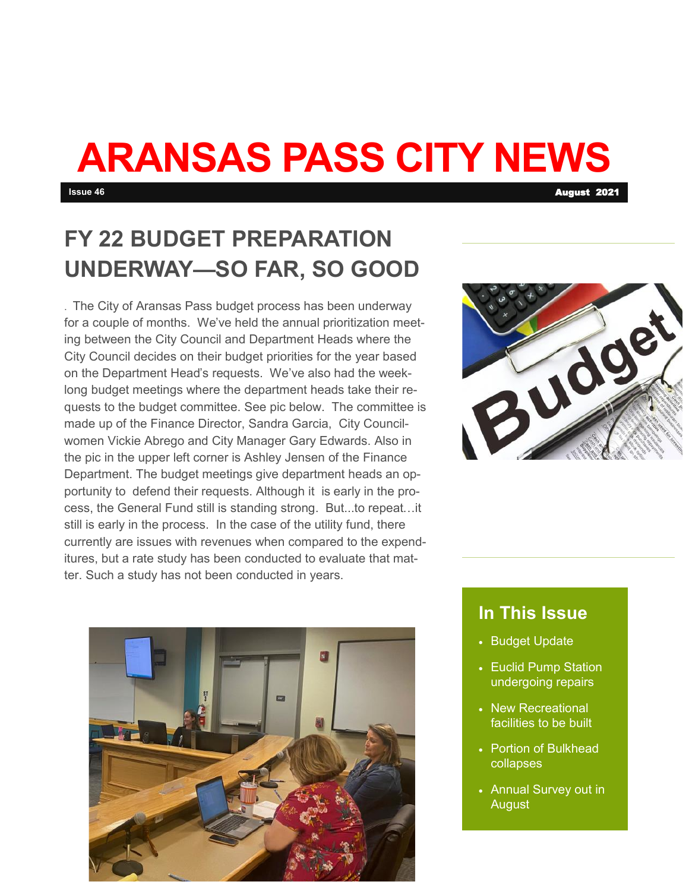# **ARANSAS PASS CITY NEWS**

# **FY 22 BUDGET PREPARATION UNDERWAY—SO FAR, SO GOOD**

. The City of Aransas Pass budget process has been underway for a couple of months. We've held the annual prioritization meeting between the City Council and Department Heads where the City Council decides on their budget priorities for the year based on the Department Head's requests. We've also had the weeklong budget meetings where the department heads take their requests to the budget committee. See pic below. The committee is made up of the Finance Director, Sandra Garcia, City Councilwomen Vickie Abrego and City Manager Gary Edwards. Also in the pic in the upper left corner is Ashley Jensen of the Finance Department. The budget meetings give department heads an opportunity to defend their requests. Although it is early in the process, the General Fund still is standing strong. But...to repeat…it still is early in the process. In the case of the utility fund, there currently are issues with revenues when compared to the expenditures, but a rate study has been conducted to evaluate that matter. Such a study has not been conducted in years.





#### **In This Issue**

- Budget Update
- Euclid Pump Station undergoing repairs
- New Recreational facilities to be built
- Portion of Bulkhead collapses
- Annual Survey out in August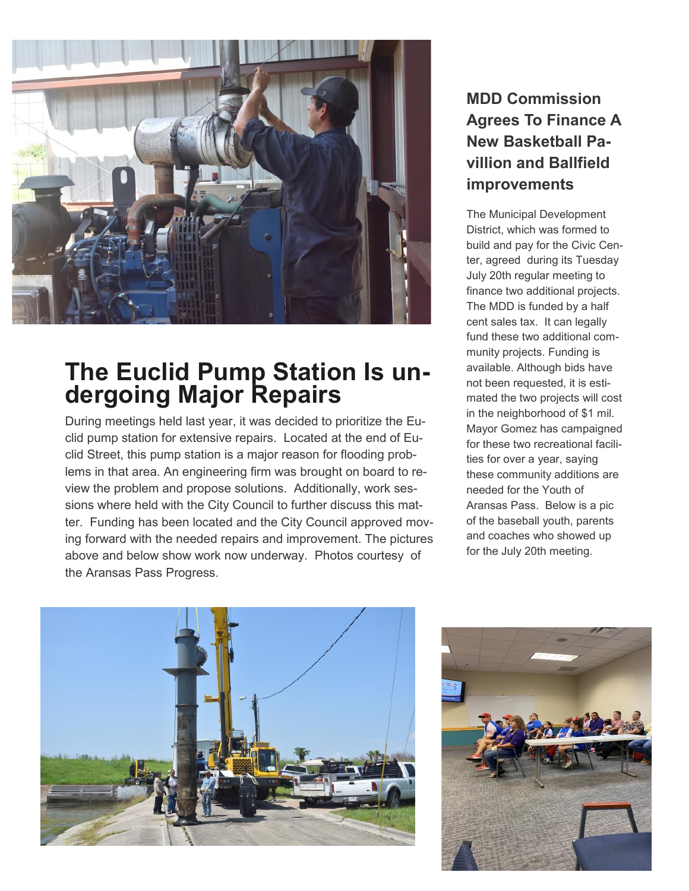

## **The Euclid Pump Station Is undergoing Major Repairs**

During meetings held last year, it was decided to prioritize the Euclid pump station for extensive repairs. Located at the end of Euclid Street, this pump station is a major reason for flooding problems in that area. An engineering firm was brought on board to review the problem and propose solutions. Additionally, work sessions where held with the City Council to further discuss this matter. Funding has been located and the City Council approved moving forward with the needed repairs and improvement. The pictures above and below show work now underway. Photos courtesy of the Aransas Pass Progress.

### **MDD Commission Agrees To Finance A New Basketball Pavillion and Ballfield improvements**

The Municipal Development District, which was formed to build and pay for the Civic Center, agreed during its Tuesday July 20th regular meeting to finance two additional projects. The MDD is funded by a half cent sales tax. It can legally fund these two additional community projects. Funding is available. Although bids have not been requested, it is estimated the two projects will cost in the neighborhood of \$1 mil. Mayor Gomez has campaigned for these two recreational facilities for over a year, saying these community additions are needed for the Youth of Aransas Pass. Below is a pic of the baseball youth, parents and coaches who showed up for the July 20th meeting.



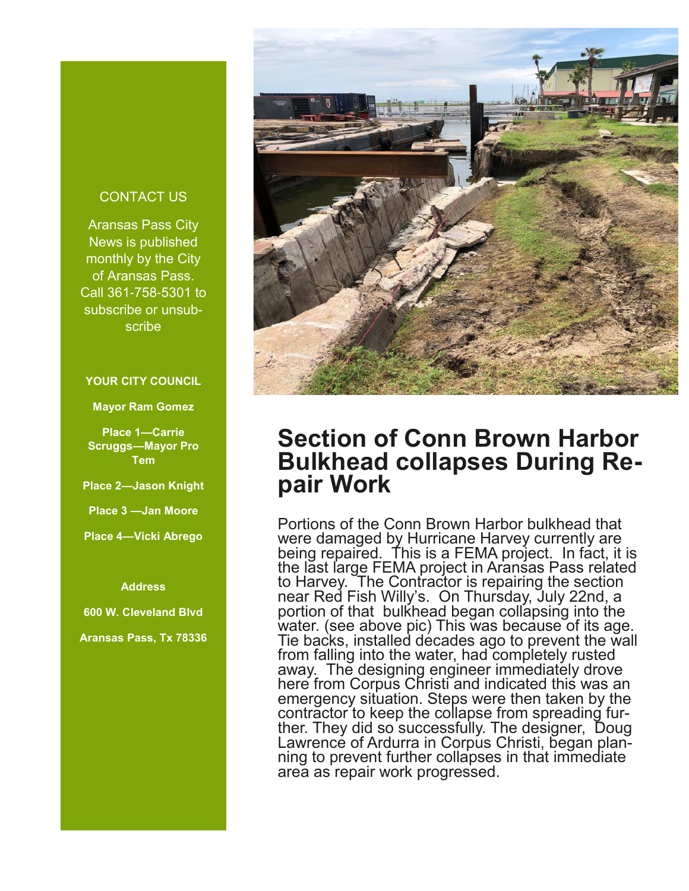#### CONTACT US

Aransas Pass City News is published monthly by the City of Aransas Pass. Call 361-758-5301 to subscribe or unsubscribe

#### **YOUR CITY COUNCIL**

**Mayor Ram Gomez**

**Place 1—Carrie Scruggs—Mayor Pro Tem**

**Place 2—Jason Knight**

**Place 3 —Jan Moore**

**Place 4—Vicki Abrego**

**Address** 

**600 W. Cleveland Blvd**

**Aransas Pass, Tx 78336** 



## **Section of Conn Brown Harbor Bulkhead collapses During Repair Work**

Portions of the Conn Brown Harbor bulkhead that were damaged by Hurricane Harvey currently are being repaired. This is a FEMA project. In fact, it is the last large FEMA project in Aransas Pass related to Harvey. The Contractor is repairing the section near Red Fish Willy's. On Thursday, July 22nd, a portion of that bulkhead began collapsing into the water. (see above pic) This was because of its age. Tie backs, installed decades ago to prevent the wall from falling into the water, had completely rusted away. The designing engineer immediately drove here from Corpus Christi and indicated this was an emergency situation. Steps were then taken by the contractor to keep the collapse from spreading further. They did so successfully. The designer, Doug Lawrence of Ardurra in Corpus Christi, began planning to prevent further collapses in that immediate area as repair work progressed.